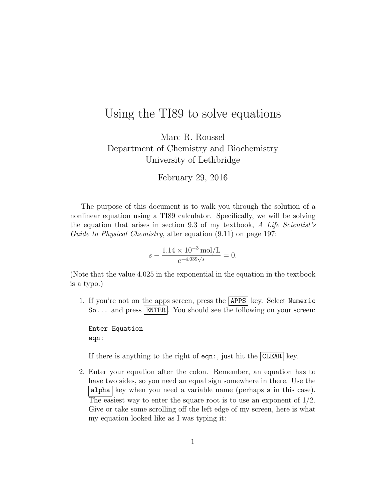## Using the TI89 to solve equations

Marc R. Roussel Department of Chemistry and Biochemistry University of Lethbridge

February 29, 2016

The purpose of this document is to walk you through the solution of a nonlinear equation using a TI89 calculator. Specifically, we will be solving the equation that arises in section 9.3 of my textbook, A Life Scientist's Guide to Physical Chemistry, after equation  $(9.11)$  on page 197:

$$
s - \frac{1.14 \times 10^{-3} \text{ mol/L}}{e^{-4.039\sqrt{s}}} = 0.
$$

(Note that the value 4.025 in the exponential in the equation in the textbook is a typo.)

1. If you're not on the apps screen, press the  $APPS$  key. Select Numeric So... and press ENTER. You should see the following on your screen:

Enter Equation eqn:

If there is anything to the right of eqn:, just hit the CLEAR key.

2. Enter your equation after the colon. Remember, an equation has to have two sides, so you need an equal sign somewhere in there. Use the alpha key when you need a variable name (perhaps  $s$  in this case). The easiest way to enter the square root is to use an exponent of  $1/2$ . Give or take some scrolling off the left edge of my screen, here is what my equation looked like as I was typing it: